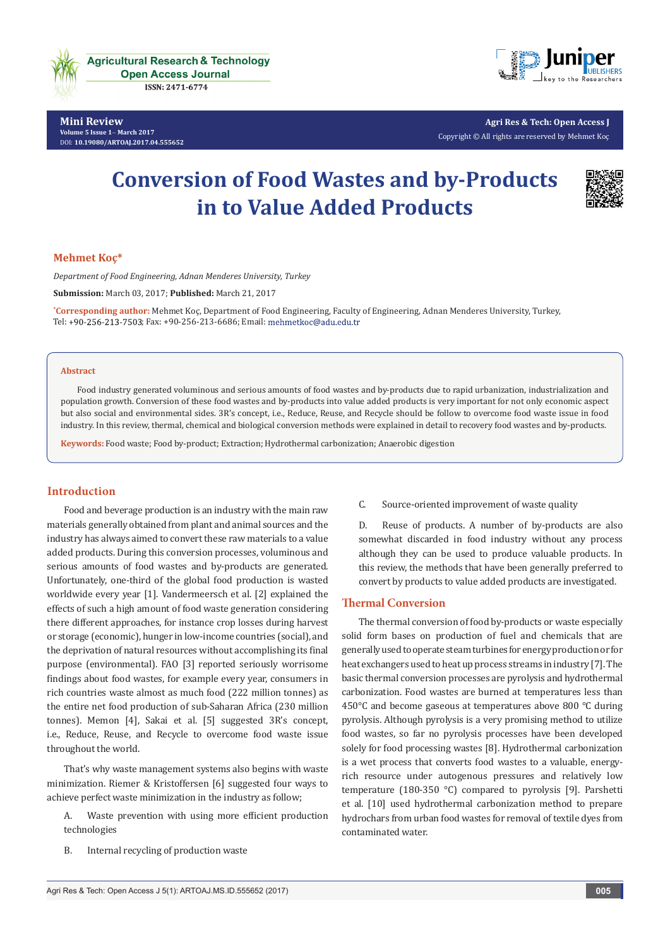



**Agri Res & Tech: Open Access J** Copyright © All rights are reserved by Mehmet Koç

# **Conversion of Food Wastes and by-Products in to Value Added Products**



#### **Mehmet Koç\***

*Department of Food Engineering, Adnan Menderes University, Turkey*

**Submission:** March 03, 2017; **Published:** March 21, 2017

**\* Corresponding author:** Mehmet Koç, Department of Food Engineering, Faculty of Engineering, Adnan Menderes University, Turkey, Tel: +90-256-213-7503; Fax: +90-256-213-6686; Email: mehmetkoc@adu.edu.tr

#### **Abstract**

Food industry generated voluminous and serious amounts of food wastes and by-products due to rapid urbanization, industrialization and population growth. Conversion of these food wastes and by-products into value added products is very important for not only economic aspect but also social and environmental sides. 3R's concept, i.e., Reduce, Reuse, and Recycle should be follow to overcome food waste issue in food industry. In this review, thermal, chemical and biological conversion methods were explained in detail to recovery food wastes and by-products.

**Keywords:** Food waste; Food by-product; Extraction; Hydrothermal carbonization; Anaerobic digestion

# **Introduction**

Food and beverage production is an industry with the main raw materials generally obtained from plant and animal sources and the industry has always aimed to convert these raw materials to a value added products. During this conversion processes, voluminous and serious amounts of food wastes and by-products are generated. Unfortunately, one-third of the global food production is wasted worldwide every year [1]. Vandermeersch et al. [2] explained the effects of such a high amount of food waste generation considering there different approaches, for instance crop losses during harvest or storage (economic), hunger in low-income countries (social), and the deprivation of natural resources without accomplishing its final purpose (environmental). FAO [3] reported seriously worrisome findings about food wastes, for example every year, consumers in rich countries waste almost as much food (222 million tonnes) as the entire net food production of sub-Saharan Africa (230 million tonnes). Memon [4], Sakai et al. [5] suggested 3R's concept, i.e., Reduce, Reuse, and Recycle to overcome food waste issue throughout the world.

That's why waste management systems also begins with waste minimization. Riemer & Kristoffersen [6] suggested four ways to achieve perfect waste minimization in the industry as follow;

- A. Waste prevention with using more efficient production technologies
- B. Internal recycling of production waste

C. Source-oriented improvement of waste quality

D. Reuse of products. A number of by-products are also somewhat discarded in food industry without any process although they can be used to produce valuable products. In this review, the methods that have been generally preferred to convert by products to value added products are investigated.

#### **Thermal Conversion**

The thermal conversion of food by-products or waste especially solid form bases on production of fuel and chemicals that are generally used to operate steam turbines for energy production or for heat exchangers used to heat up process streams in industry [7]. The basic thermal conversion processes are pyrolysis and hydrothermal carbonization. Food wastes are burned at temperatures less than 450°C and become gaseous at temperatures above 800 °C during pyrolysis. Although pyrolysis is a very promising method to utilize food wastes, so far no pyrolysis processes have been developed solely for food processing wastes [8]. Hydrothermal carbonization is a wet process that converts food wastes to a valuable, energyrich resource under autogenous pressures and relatively low temperature (180-350 °C) compared to pyrolysis [9]. Parshetti et al. [10] used hydrothermal carbonization method to prepare hydrochars from urban food wastes for removal of textile dyes from contaminated water.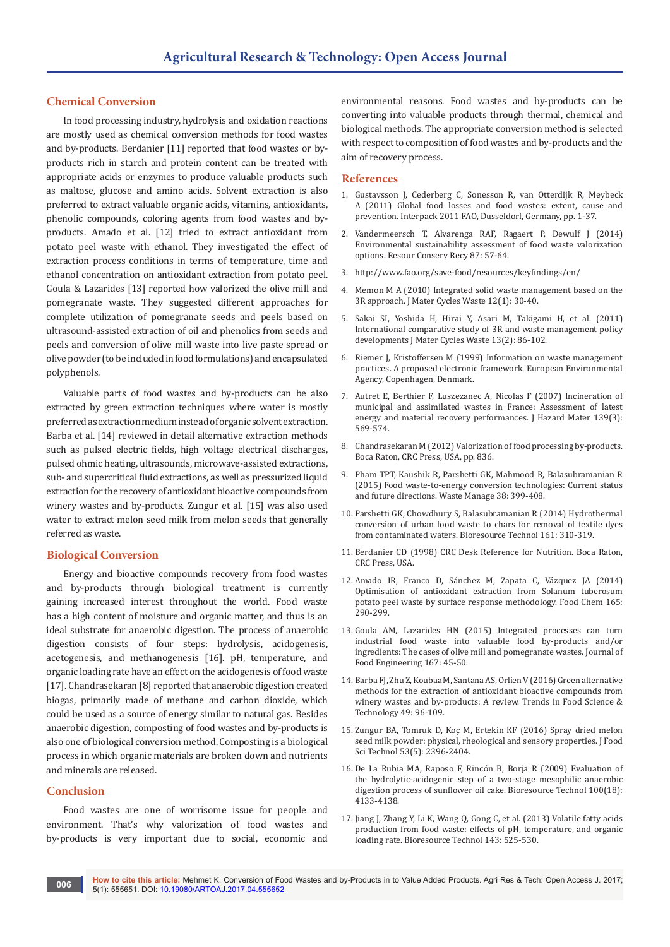## **Chemical Conversion**

In food processing industry, hydrolysis and oxidation reactions are mostly used as chemical conversion methods for food wastes and by-products. Berdanier [11] reported that food wastes or byproducts rich in starch and protein content can be treated with appropriate acids or enzymes to produce valuable products such as maltose, glucose and amino acids. Solvent extraction is also preferred to extract valuable organic acids, vitamins, antioxidants, phenolic compounds, coloring agents from food wastes and byproducts. Amado et al. [12] tried to extract antioxidant from potato peel waste with ethanol. They investigated the effect of extraction process conditions in terms of temperature, time and ethanol concentration on antioxidant extraction from potato peel. Goula & Lazarides [13] reported how valorized the olive mill and pomegranate waste. They suggested different approaches for complete utilization of pomegranate seeds and peels based on ultrasound-assisted extraction of oil and phenolics from seeds and peels and conversion of olive mill waste into live paste spread or olive powder (to be included in food formulations) and encapsulated polyphenols.

Valuable parts of food wastes and by-products can be also extracted by green extraction techniques where water is mostly preferred as extraction medium instead of organic solvent extraction. Barba et al. [14] reviewed in detail alternative extraction methods such as pulsed electric fields, high voltage electrical discharges, pulsed ohmic heating, ultrasounds, microwave-assisted extractions, sub- and supercritical fluid extractions, as well as pressurized liquid extraction for the recovery of antioxidant bioactive compounds from winery wastes and by-products. Zungur et al. [15] was also used water to extract melon seed milk from melon seeds that generally referred as waste.

## **Biological Conversion**

Energy and bioactive compounds recovery from food wastes and by-products through biological treatment is currently gaining increased interest throughout the world. Food waste has a high content of moisture and organic matter, and thus is an ideal substrate for anaerobic digestion. The process of anaerobic digestion consists of four steps: hydrolysis, acidogenesis, acetogenesis, and methanogenesis [16]. pH, temperature, and organic loading rate have an effect on the acidogenesis of food waste [17]. Chandrasekaran [8] reported that anaerobic digestion created biogas, primarily made of methane and carbon dioxide, which could be used as a source of energy similar to natural gas. Besides anaerobic digestion, composting of food wastes and by-products is also one of biological conversion method. Composting is a biological process in which organic materials are broken down and nutrients and minerals are released.

# **Conclusion**

Food wastes are one of worrisome issue for people and environment. That's why valorization of food wastes and by-products is very important due to social, economic and

environmental reasons. Food wastes and by-products can be converting into valuable products through thermal, chemical and biological methods. The appropriate conversion method is selected with respect to composition of food wastes and by-products and the aim of recovery process.

#### **References**

- 1. [Gustavsson J, Cederberg C, Sonesson R, van Otterdijk R, Meybeck](http://www.fao.org/docrep/014/mb060e/mb060e00.pdf)  [A \(2011\) Global food losses and food wastes: extent, cause and](http://www.fao.org/docrep/014/mb060e/mb060e00.pdf)  [prevention. Interpack 2011 FAO, Dusseldorf, Germany, pp. 1-37.](http://www.fao.org/docrep/014/mb060e/mb060e00.pdf)
- 2. Vandermeersch T, Alvarenga RAF, Ragaert P, Dewulf J (2014) Environmental sustainability assessment of food waste valorization options. Resour Conserv Recy 87: 57-64.
- 3. <http://www.fao.org/save-food/resources/keyfindings/en/>
- 4. [Memon M A \(2010\) Integrated solid waste management based on the](https://link.springer.com/article/10.1007/s10163-009-0274-0)  3R approach. [J Mater Cycles Waste](https://link.springer.com/article/10.1007/s10163-009-0274-0) 12(1): 30-40.
- 5. [Sakai SI, Yoshida H, Hirai Y, Asari M, Takigami H, et al. \(2011\)](https://link.springer.com/article/10.1007/s10163-011-0009-x)  [International comparative study of 3R and waste management policy](https://link.springer.com/article/10.1007/s10163-011-0009-x)  [developments J Mater Cycles Waste](https://link.springer.com/article/10.1007/s10163-011-0009-x) 13(2): 86-102.
- 6. [Riemer J, Kristoffersen M \(1999\) Information on waste management](http://www.eea.europa.eu/publications/TEC24)  [practices. A proposed electronic framework. European Environmental](http://www.eea.europa.eu/publications/TEC24)  [Agency, Copenhagen, Denmark.](http://www.eea.europa.eu/publications/TEC24)
- 7. [Autret E, Berthier F, Luszezanec A, Nicolas F \(2007\) Incineration of](https://www.ncbi.nlm.nih.gov/pubmed/16707217)  [municipal and assimilated wastes in France: Assessment of latest](https://www.ncbi.nlm.nih.gov/pubmed/16707217)  [energy and material recovery performances. J Hazard Mater](https://www.ncbi.nlm.nih.gov/pubmed/16707217) 139(3): [569-574.](https://www.ncbi.nlm.nih.gov/pubmed/16707217)
- 8. Chandrasekaran M (2012) [Valorization of food processing by-products.](https://www.crcpress.com/Valorization-of-Food-Processing-By-Products/Chandrasekaran/p/book/9781439848852)  [Boca Raton, CRC Press, USA, pp. 836.](https://www.crcpress.com/Valorization-of-Food-Processing-By-Products/Chandrasekaran/p/book/9781439848852)
- 9. [Pham TPT, Kaushik R, Parshetti GK, Mahmood R, Balasubramanian R](https://www.ncbi.nlm.nih.gov/pubmed/25555663)  [\(2015\) Food waste-to-energy conversion technologies: Current status](https://www.ncbi.nlm.nih.gov/pubmed/25555663)  and future directions. [Waste Manage 38: 399-408.](https://www.ncbi.nlm.nih.gov/pubmed/25555663)
- 10. [Parshetti GK, Chowdhury S, Balasubramanian R \(2014\) Hydrothermal](https://www.ncbi.nlm.nih.gov/pubmed/24727353)  [conversion of urban food waste to chars for removal of textile dyes](https://www.ncbi.nlm.nih.gov/pubmed/24727353)  [from contaminated waters.](https://www.ncbi.nlm.nih.gov/pubmed/24727353) Bioresource Technol 161: 310-319.
- 11. Berdanier CD (1998) CRC Desk Reference for Nutrition. Boca Raton, CRC Press, USA.
- 12. Amado IR, Franco D, Sá[nchez M, Zapata C, Vázquez JA \(2014\)](https://www.ncbi.nlm.nih.gov/pubmed/25038678)  [Optimisation of antioxidant extraction from Solanum tuberosum](https://www.ncbi.nlm.nih.gov/pubmed/25038678)  [potato peel waste by surface response methodology.](https://www.ncbi.nlm.nih.gov/pubmed/25038678) Food Chem 165: [290-299.](https://www.ncbi.nlm.nih.gov/pubmed/25038678)
- 13. [Goula AM, Lazarides HN \(2015\) Integrated processes can turn](http://www.sciencedirect.com/science/article/pii/S0260877415000047)  [industrial food waste into valuable food by-products and/or](http://www.sciencedirect.com/science/article/pii/S0260877415000047)  [ingredients: The cases of olive mill and pomegranate wastes.](http://www.sciencedirect.com/science/article/pii/S0260877415000047) Journal of [Food Engineering 167: 45-50.](http://www.sciencedirect.com/science/article/pii/S0260877415000047)
- 14. [Barba FJ, Zhu Z, Koubaa M, Santana AS, Orlien V \(2016\) Green alternative](file:///D:/JOURNALS/ARTOAJ/ARTOAJ.MS.ID.555651/ARTOAJ-MRW-17-707_W/Trends%20in%20Food%20Science%20&%20Technology)  [methods for the extraction of antioxidant bioactive compounds from](file:///D:/JOURNALS/ARTOAJ/ARTOAJ.MS.ID.555651/ARTOAJ-MRW-17-707_W/Trends%20in%20Food%20Science%20&%20Technology)  [winery wastes and by-products: A review.](file:///D:/JOURNALS/ARTOAJ/ARTOAJ.MS.ID.555651/ARTOAJ-MRW-17-707_W/Trends%20in%20Food%20Science%20&%20Technology) Trends in Food Science & [Technology 49: 96-109.](file:///D:/JOURNALS/ARTOAJ/ARTOAJ.MS.ID.555651/ARTOAJ-MRW-17-707_W/Trends%20in%20Food%20Science%20&%20Technology)
- 15. [Zungur BA, Tomruk D, Koç M, Ertekin KF \(2016\) Spray dried melon](http://en.ahau.findplus.cn/?h=articles&db=edselc&an=edselc.2-52.0-84966430957)  [seed milk powder: physical, rheological and sensory properties. J Food](http://en.ahau.findplus.cn/?h=articles&db=edselc&an=edselc.2-52.0-84966430957)  [Sci Technol 53\(5\): 2396-2404.](http://en.ahau.findplus.cn/?h=articles&db=edselc&an=edselc.2-52.0-84966430957)
- 16. De La Rubia MA, Raposo F, Rincó[n B, Borja R \(2009\) Evaluation of](http://www.sciencedirect.com/science/article/pii/S0960852409003605)  [the hydrolytic-acidogenic step of a two-stage mesophilic anaerobic](http://www.sciencedirect.com/science/article/pii/S0960852409003605)  [digestion process of sunflower oil cake.](http://www.sciencedirect.com/science/article/pii/S0960852409003605) Bioresource Technol 100(18): [4133-4138.](http://www.sciencedirect.com/science/article/pii/S0960852409003605)
- 17. [Jiang J, Zhang Y, Li K, Wang Q, Gong C, et al. \(2013\) Volatile fatty acids](https://www.ncbi.nlm.nih.gov/pubmed/23831761)  [production from food waste: effects of pH, temperature, and organic](https://www.ncbi.nlm.nih.gov/pubmed/23831761)  [loading rate. Bioresource Technol 143: 525-530.](https://www.ncbi.nlm.nih.gov/pubmed/23831761)